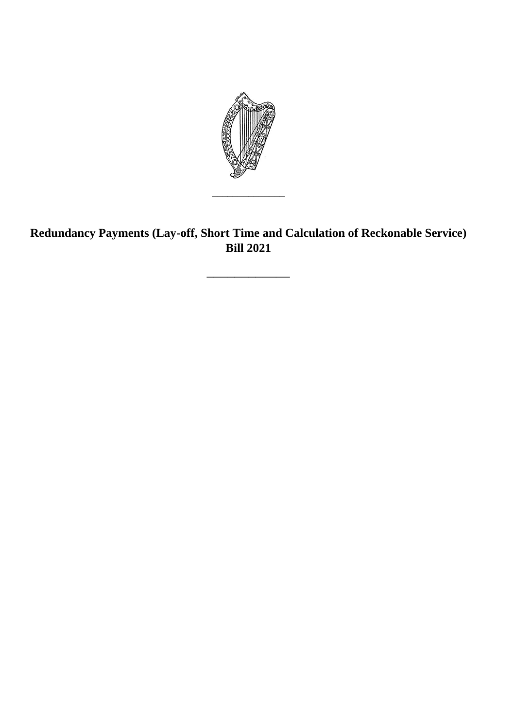

**Redundancy Payments (Lay-off, Short Time and Calculation of Reckonable Service) Bill 2021** 

\_\_\_\_\_\_\_\_\_\_\_\_

\_\_\_\_\_\_\_\_\_\_\_\_\_\_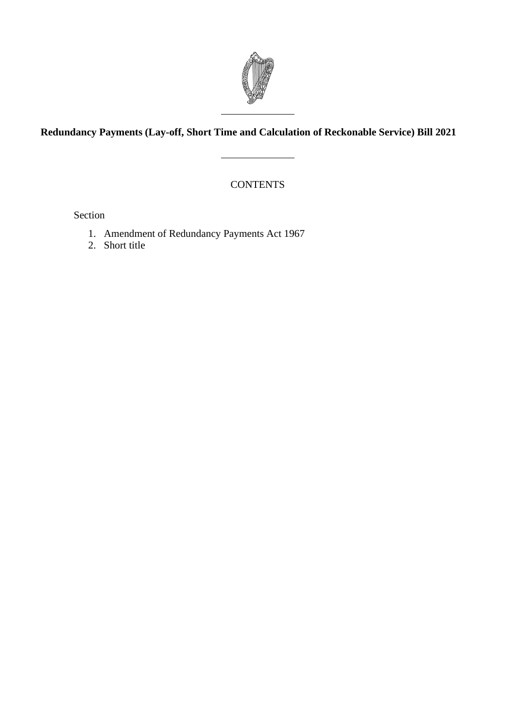

## **Redundancy Payments (Lay-off, Short Time and Calculation of Reckonable Service) Bill 2021**

**CONTENTS** 

Section

- 1. Amendment of Redundancy Payments Act 1967
- 2. Short title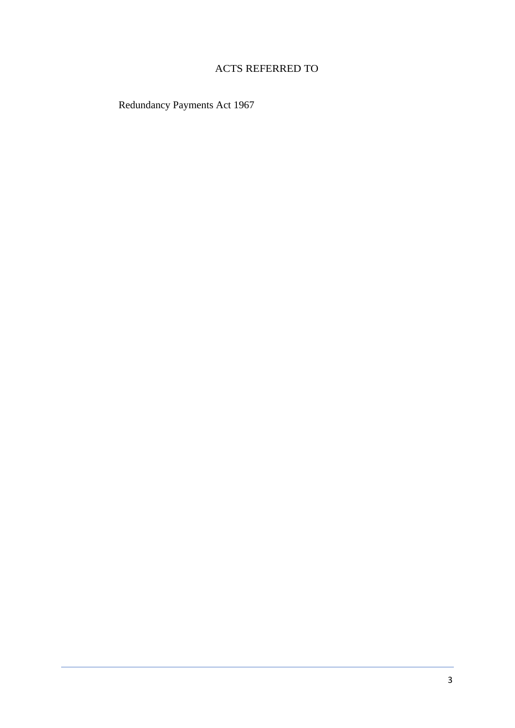## ACTS REFERRED TO

Redundancy Payments Act 1967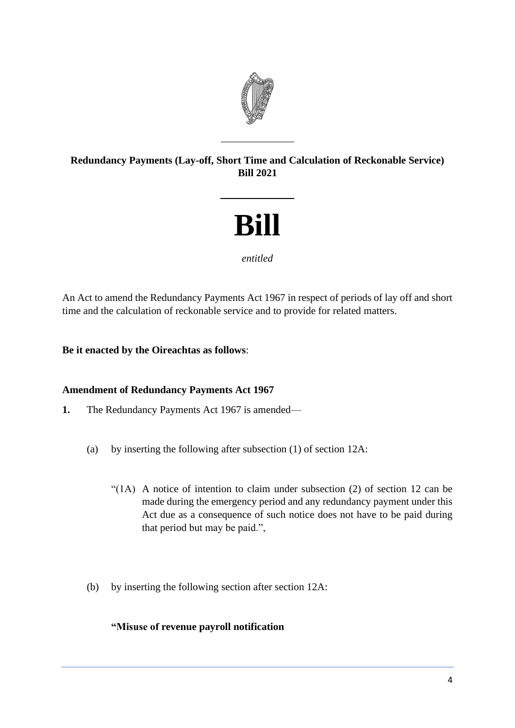

## **Redundancy Payments (Lay-off, Short Time and Calculation of Reckonable Service) Bill 2021**

# **Bill**

#### *entitled*

An Act to amend the Redundancy Payments Act 1967 in respect of periods of lay off and short time and the calculation of reckonable service and to provide for related matters.

### **Be it enacted by the Oireachtas as follows**:

#### **Amendment of Redundancy Payments Act 1967**

- **1.** The Redundancy Payments Act 1967 is amended—
	- (a) by inserting the following after subsection (1) of section 12A:
		- "(1A) A notice of intention to claim under subsection (2) of section 12 can be made during the emergency period and any redundancy payment under this Act due as a consequence of such notice does not have to be paid during that period but may be paid.",
	- (b) by inserting the following section after section 12A:

#### **"Misuse of revenue payroll notification**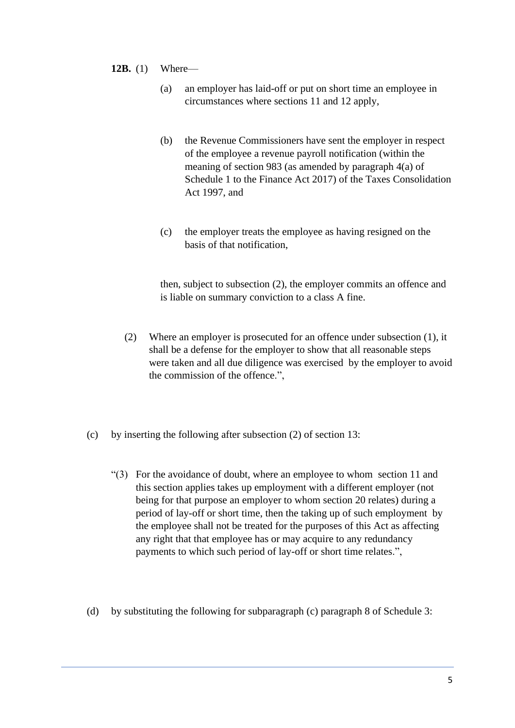- **12B.** (1) Where—
	- (a) an employer has laid-off or put on short time an employee in circumstances where sections 11 and 12 apply,
	- (b) the Revenue Commissioners have sent the employer in respect of the employee a revenue payroll notification (within the meaning of section 983 (as amended by paragraph 4(a) of Schedule 1 to the Finance Act 2017) of the Taxes Consolidation Act 1997, and
	- (c) the employer treats the employee as having resigned on the basis of that notification,

then, subject to subsection (2), the employer commits an offence and is liable on summary conviction to a class A fine.

- (2) Where an employer is prosecuted for an offence under subsection (1), it shall be a defense for the employer to show that all reasonable steps were taken and all due diligence was exercised by the employer to avoid the commission of the offence.",
- (c) by inserting the following after subsection (2) of section 13:
	- "(3) For the avoidance of doubt, where an employee to whom section 11 and this section applies takes up employment with a different employer (not being for that purpose an employer to whom section 20 relates) during a period of lay-off or short time, then the taking up of such employment by the employee shall not be treated for the purposes of this Act as affecting any right that that employee has or may acquire to any redundancy payments to which such period of lay-off or short time relates.",
- (d) by substituting the following for subparagraph (c) paragraph 8 of Schedule 3: